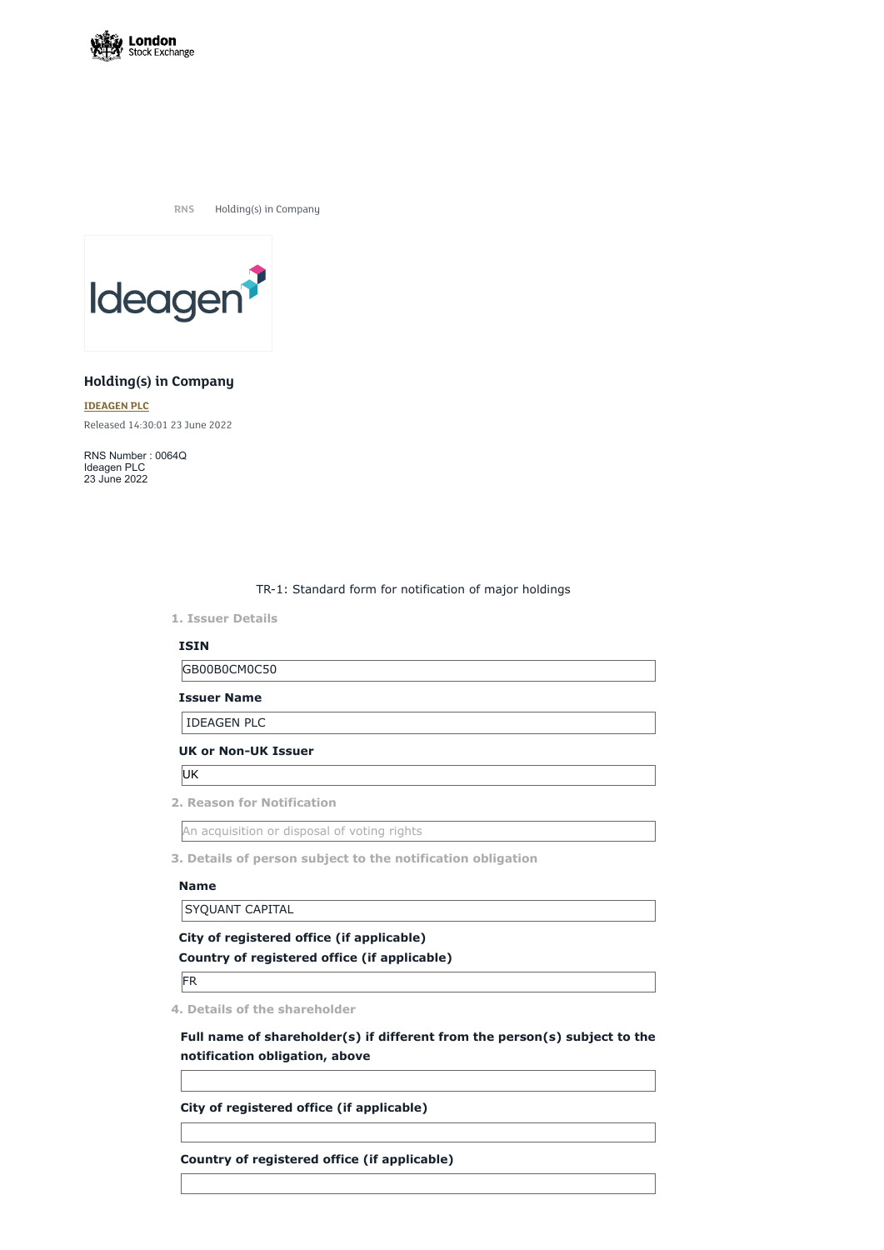

**RNS** Holding(s) in Company



# **Holding(s) in Company**

**[IDEAGEN](https://www.londonstockexchange.com/stock/IDEA/ideagen-plc) PLC** Released 14:30:01 23 June 2022

RNS Number : 0064Q Ideagen PLC 23 June 2022

TR-1: Standard form for notification of major holdings

**1. Issuer Details**

## **ISIN**

GB00B0CM0C50

**Issuer Name**

IDEAGEN PLC

### **UK or Non-UK Issuer**

UK

**2. Reason for Notification**

An acquisition or disposal of voting rights

**3. Details of person subject to the notification obligation**

### **Name**

SYQUANT CAPITAL

## **City of registered office (if applicable)**

**Country of registered office (if applicable)**

FR

**4. Details of the shareholder**

**Full name of shareholder(s) if different from the person(s) subject to the notification obligation, above**

**City of registered office (if applicable)**

**Country of registered office (if applicable)**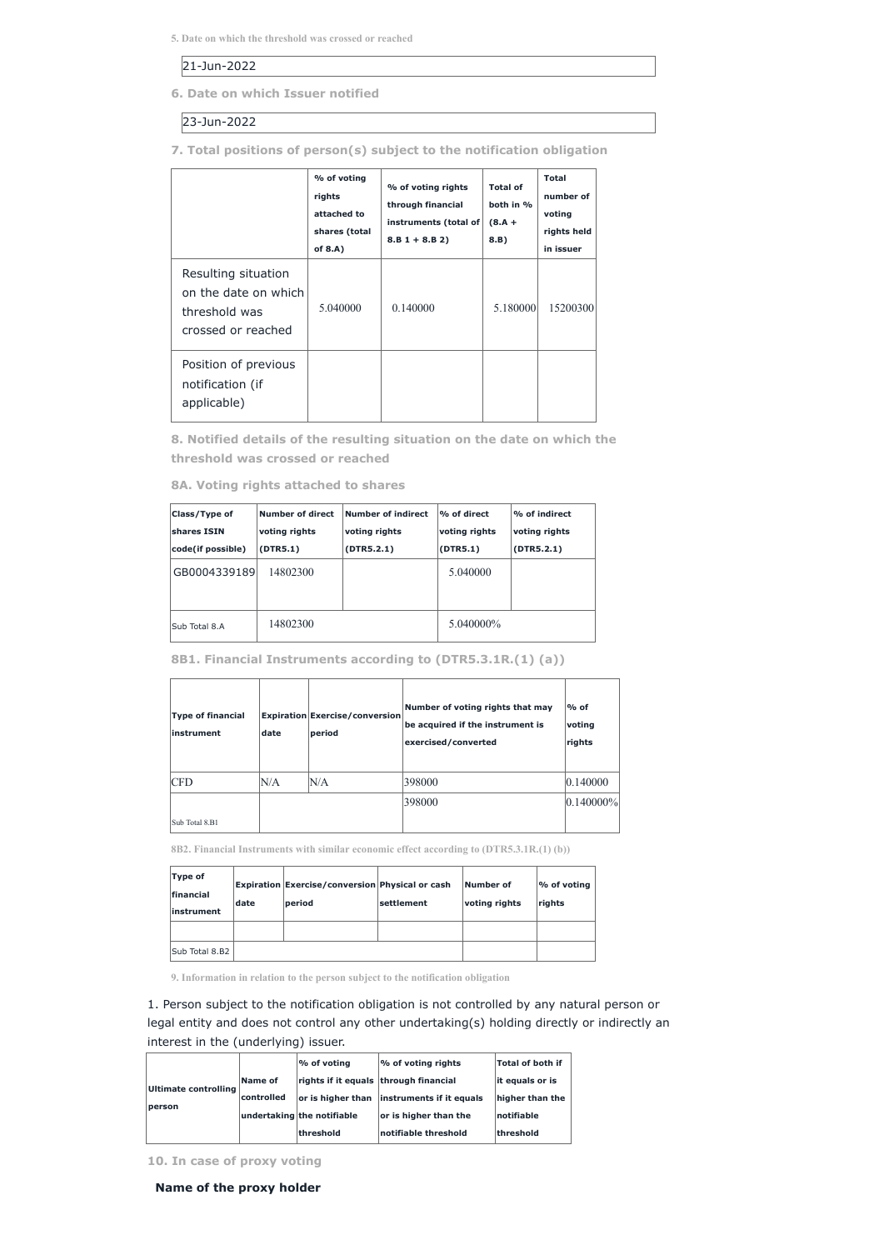**5. Date on which the threshold was crossed or reached**

## 21-Jun-2022

**6. Date on which Issuer notified**

23-Jun-2022

**7. Total positions of person(s) subject to the notification obligation**

|                                                                                    | % of voting<br>rights<br>attached to<br>shares (total<br>of $8.A$ ) | % of voting rights<br>through financial<br>instruments (total of<br>$8.B 1 + 8.B 2)$ | <b>Total of</b><br>both in %<br>$(8.A +$<br>8.B) | <b>Total</b><br>number of<br>voting<br>rights held<br>in issuer |
|------------------------------------------------------------------------------------|---------------------------------------------------------------------|--------------------------------------------------------------------------------------|--------------------------------------------------|-----------------------------------------------------------------|
| Resulting situation<br>on the date on which<br>threshold was<br>crossed or reached | 5.040000                                                            | 0.140000                                                                             | 5.180000                                         | 15200300                                                        |
| Position of previous<br>notification (if<br>applicable)                            |                                                                     |                                                                                      |                                                  |                                                                 |

**8. Notified details of the resulting situation on the date on which the threshold was crossed or reached**

**8A. Voting rights attached to shares**

| Class/Type of     | <b>Number of direct</b> | Number of indirect | $\mathsf{P}\mathsf{6}$ of direct | <b>%</b> of indirect |
|-------------------|-------------------------|--------------------|----------------------------------|----------------------|
| shares ISIN       | voting rights           | voting rights      | voting rights                    | voting rights        |
| code(if possible) | (DTR5.1)                | (DTR5.2.1)         | (DTR5.1)                         | (DTR5.2.1)           |
| GB0004339189      | 14802300                |                    | 5.040000                         |                      |
| Sub Total 8.A     | 14802300                |                    | 5.040000\%                       |                      |

**8B1. Financial Instruments according to (DTR5.3.1R.(1) (a))**

| date |               | $\%$ of<br>voting<br>rights                                                                                                                              |
|------|---------------|----------------------------------------------------------------------------------------------------------------------------------------------------------|
| N/A  |               | 0.140000                                                                                                                                                 |
|      |               | $ 0.140000\% $                                                                                                                                           |
|      | period<br>N/A | Number of voting rights that may<br><b>Expiration Exercise/conversion</b><br>be acquired if the instrument is<br>exercised/converted<br>398000<br>398000 |

**8B2. Financial Instruments with similar economic effect according to (DTR5.3.1R.(1) (b))**

| Type of<br><b>Ifinancial</b><br>linstrument | date | <b>Expiration Exercise/conversion Physical or cash</b><br>period | <b>settlement</b> | Number of<br>voting rights | $\frac{9}{6}$ of voting<br> rights |
|---------------------------------------------|------|------------------------------------------------------------------|-------------------|----------------------------|------------------------------------|
|                                             |      |                                                                  |                   |                            |                                    |

| $\overline{\text{Sub Total } 8 \text{ R}}$<br>15ub Total 8.B2 |  |  |  |
|---------------------------------------------------------------|--|--|--|
|---------------------------------------------------------------|--|--|--|

**9. Information in relation to the person subject to the notification obligation**

1. Person subject to the notification obligation is not controlled by any natural person or legal entity and does not control any other undertaking(s) holding directly or indirectly an interest in the (underlying) issuer.

|                                       |            | % of voting                           | $\frac{1}{6}$ of voting rights | <b>Total of both if</b> |
|---------------------------------------|------------|---------------------------------------|--------------------------------|-------------------------|
| <b>Ultimate controlling</b><br>person | Name of    | rights if it equals through financial |                                | lit equals or is        |
|                                       | controlled | or is higher than                     | instruments if it equals       | higher than the         |
|                                       |            | undertaking the notifiable            | or is higher than the          | <b>Inotifiable</b>      |
|                                       |            | <b>threshold</b>                      | notifiable threshold           | <b>threshold</b>        |

**10. In case of proxy voting**

**Name of the proxy holder**